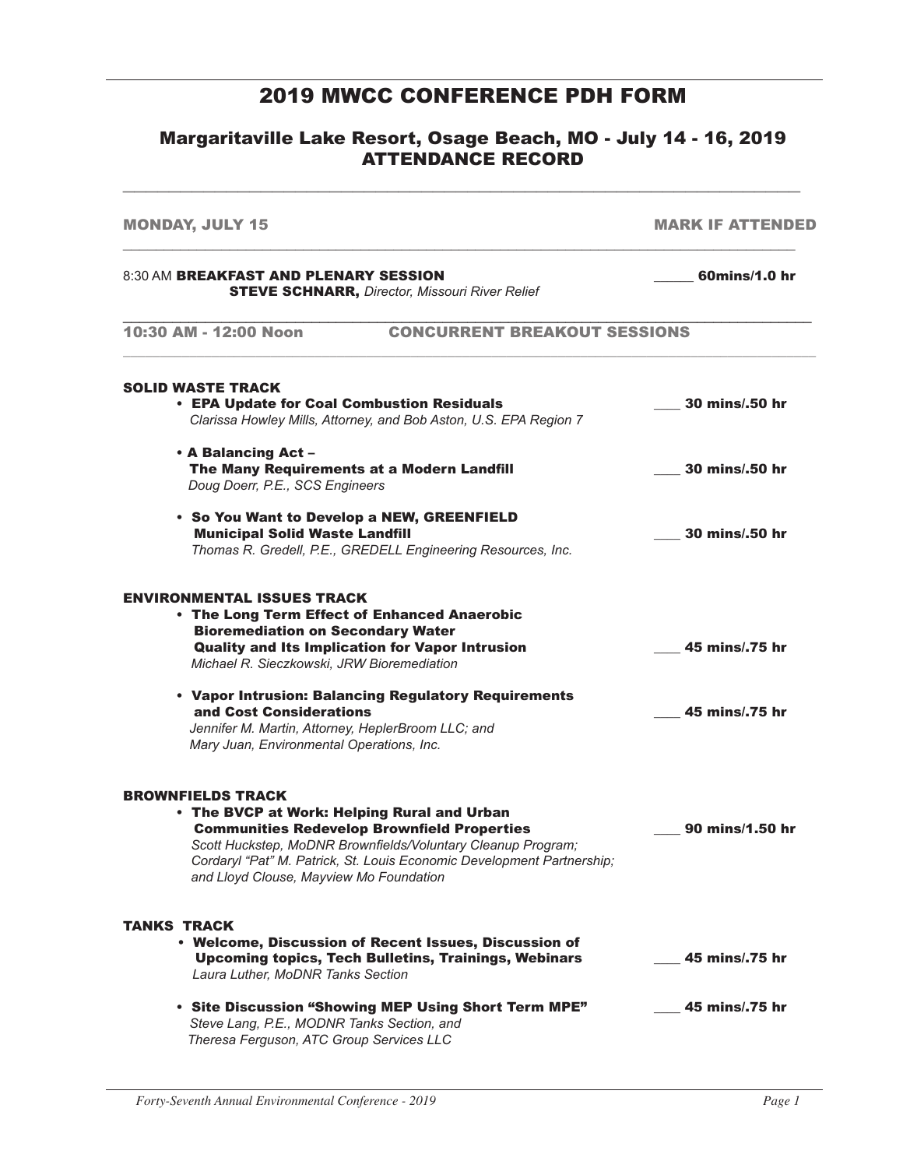#### 2019 MWCC CONFERENCE PDH FORM

#### Margaritaville Lake Resort, Osage Beach, MO - July 14 - 16, 2019 ATTENDANCE RECORD

 $\overline{a_1}$  ,  $\overline{a_2}$  ,  $\overline{a_3}$  ,  $\overline{a_4}$  ,  $\overline{a_5}$  ,  $\overline{a_6}$  ,  $\overline{a_7}$  ,  $\overline{a_8}$  ,  $\overline{a_9}$  ,  $\overline{a_9}$  ,  $\overline{a_9}$  ,  $\overline{a_9}$  ,  $\overline{a_9}$  ,  $\overline{a_9}$  ,  $\overline{a_9}$  ,  $\overline{a_9}$  ,  $\overline{a_9}$  ,

MONDAY, JULY 15 MARK IF ATTENDED \_\_\_\_\_\_\_\_\_\_\_\_\_\_\_\_\_\_\_\_\_\_\_\_\_\_\_\_\_\_\_\_\_\_\_\_\_\_\_\_\_\_\_\_\_\_\_\_\_\_\_\_\_\_\_\_\_\_\_\_\_\_\_\_\_\_\_\_\_\_\_\_\_\_\_\_\_\_\_\_\_\_ 8:30 AM BREAKFAST AND PLENARY SESSION **And Constant Construct Constructs** 60mins/1.0 hr STEVE SCHNARR, *Director, Missouri River Relief* \_\_\_\_\_\_\_\_\_\_\_\_\_\_\_\_\_\_\_\_\_\_\_\_\_\_\_\_\_\_\_\_\_\_\_\_\_\_\_\_\_\_\_\_\_\_\_\_\_\_\_\_\_\_\_\_\_\_\_\_\_\_\_\_\_\_\_\_\_\_\_\_\_\_\_\_\_\_\_\_\_\_\_\_ 10:30 AM - 12:00 Noon CONCURRENT BREAKOUT SESSIONS \_\_\_\_\_\_\_\_\_\_\_\_\_\_\_\_\_\_\_\_\_\_\_\_\_\_\_\_\_\_\_\_\_\_\_\_\_\_\_\_\_\_\_\_\_\_\_\_\_\_\_\_\_\_\_\_\_\_\_\_\_\_\_\_\_\_\_\_\_\_\_\_\_\_\_\_\_\_\_\_\_\_\_\_\_\_\_\_\_\_\_\_\_\_ SOLID WASTE TRACK • EPA Update for Coal Combustion Residuals \_\_\_\_ 30 mins/.50 hr *Clarissa Howley Mills, Attorney, and Bob Aston, U.S. EPA Region 7* • A Balancing Act – The Many Requirements at a Modern Landfill **The Many 20 mins/.50 hr** *Doug Doerr, P.E., SCS Engineers* • So You Want to Develop a NEW, GREENFIELD Municipal Solid Waste Landfill \_\_\_\_ 30 mins/.50 hr *Thomas R. Gredell, P.E., GREDELL Engineering Resources, Inc.* ENVIRONMENTAL ISSUES TRACK • The Long Term Effect of Enhanced Anaerobic Bioremediation on Secondary Water Quality and Its Implication for Vapor Intrusion **COM** 2001 2015 **125 mins** 25 mins 25 hr *Michael R. Sieczkowski, JRW Bioremediation* • Vapor Intrusion: Balancing Regulatory Requirements and Cost Considerations \_\_\_\_ 45 mins/.75 hr *Jennifer M. Martin, Attorney, HeplerBroom LLC; and Mary Juan, Environmental Operations, Inc.* BROWNFIELDS TRACK • The BVCP at Work: Helping Rural and Urban Communities Redevelop Brownfield Properties \_\_\_\_ 90 mins/1.50 hr *Scott Huckstep, MoDNR Brownfields/Voluntary Cleanup Program; Cordaryl "Pat" M. Patrick, St. Louis Economic Development Partnership; and Lloyd Clouse, Mayview Mo Foundation* TANKS TRACK • Welcome, Discussion of Recent Issues, Discussion of Upcoming topics, Tech Bulletins, Trainings, Webinars \_\_\_\_ 45 mins/.75 hr *Laura Luther, MoDNR Tanks Section* • Site Discussion "Showing MEP Using Short Term MPE" \_\_\_\_ 45 mins/.75 hr *Steve Lang, P.E., MODNR Tanks Section, and Theresa Ferguson, ATC Group Services LLC*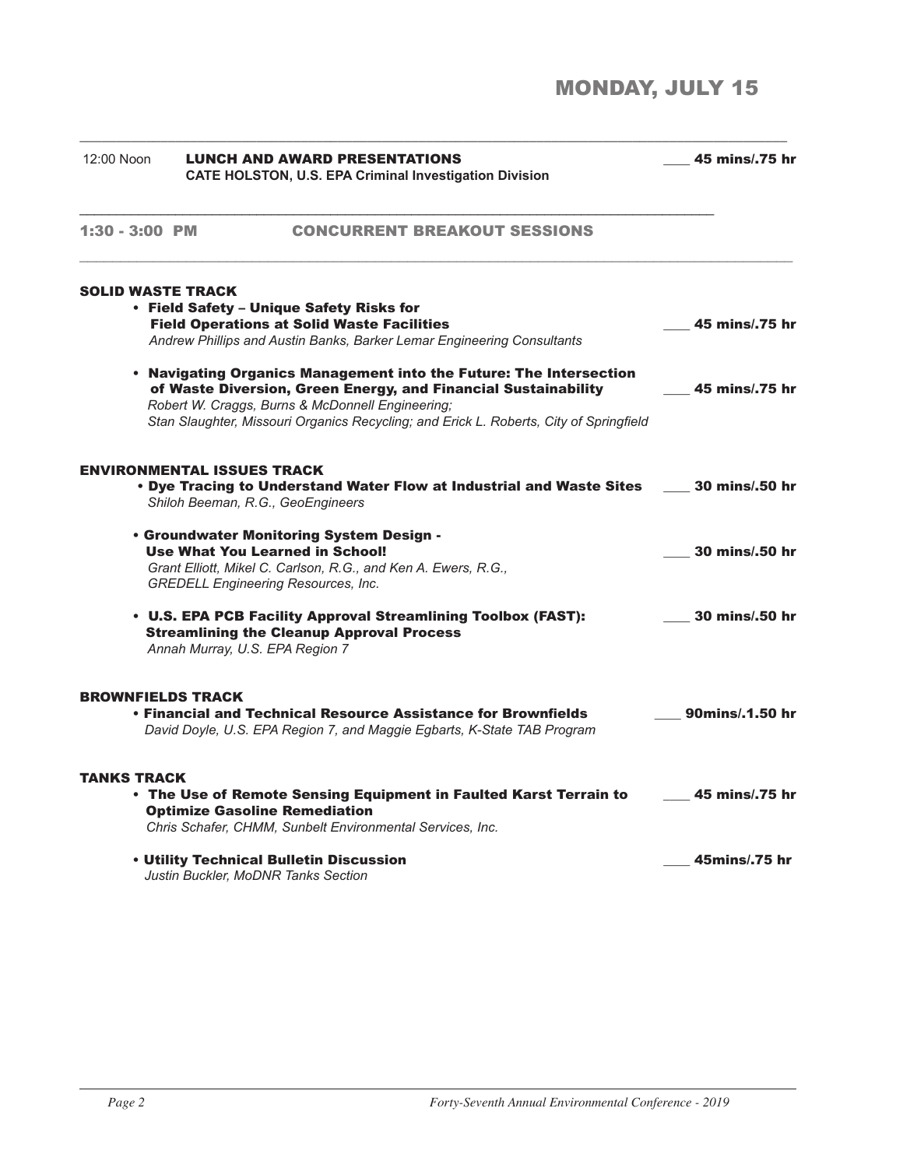# MONDAY, JULY 15

| 12:00 Noon               | <b>LUNCH AND AWARD PRESENTATIONS</b><br><b>CATE HOLSTON, U.S. EPA Criminal Investigation Division</b>                                                                                              | 45 mins/.75 hr  |  |
|--------------------------|----------------------------------------------------------------------------------------------------------------------------------------------------------------------------------------------------|-----------------|--|
| 1:30 - 3:00 PM           | <b>CONCURRENT BREAKOUT SESSIONS</b>                                                                                                                                                                |                 |  |
| <b>SOLID WASTE TRACK</b> |                                                                                                                                                                                                    |                 |  |
|                          | • Field Safety - Unique Safety Risks for                                                                                                                                                           |                 |  |
|                          | <b>Field Operations at Solid Waste Facilities</b>                                                                                                                                                  | 45 mins/.75 hr  |  |
|                          | Andrew Phillips and Austin Banks, Barker Lemar Engineering Consultants                                                                                                                             |                 |  |
|                          | . Navigating Organics Management into the Future: The Intersection<br>of Waste Diversion, Green Energy, and Financial Sustainability<br>Robert W. Craggs, Burns & McDonnell Engineering;           | 45 mins/.75 hr  |  |
|                          | Stan Slaughter, Missouri Organics Recycling; and Erick L. Roberts, City of Springfield<br><b>ENVIRONMENTAL ISSUES TRACK</b>                                                                        |                 |  |
|                          | . Dye Tracing to Understand Water Flow at Industrial and Waste Sites<br>Shiloh Beeman, R.G., GeoEngineers                                                                                          | 30 mins/.50 hr  |  |
|                          | . Groundwater Monitoring System Design -<br><b>Use What You Learned in School!</b><br>Grant Elliott, Mikel C. Carlson, R.G., and Ken A. Ewers, R.G.,<br><b>GREDELL Engineering Resources, Inc.</b> | 30 mins/.50 hr  |  |
|                          | • U.S. EPA PCB Facility Approval Streamlining Toolbox (FAST):<br><b>Streamlining the Cleanup Approval Process</b><br>Annah Murray, U.S. EPA Region 7                                               | 30 mins/.50 hr  |  |
| <b>BROWNFIELDS TRACK</b> | • Financial and Technical Resource Assistance for Brownfields<br>David Doyle, U.S. EPA Region 7, and Maggie Egbarts, K-State TAB Program                                                           | 90mins/.1.50 hr |  |
| <b>TANKS TRACK</b>       | . The Use of Remote Sensing Equipment in Faulted Karst Terrain to<br><b>Optimize Gasoline Remediation</b><br>Chris Schafer, CHMM, Sunbelt Environmental Services, Inc.                             | 45 mins/.75 hr  |  |
|                          | • Utility Technical Bulletin Discussion<br>Justin Buckler, MoDNR Tanks Section                                                                                                                     | 45mins/.75 hr   |  |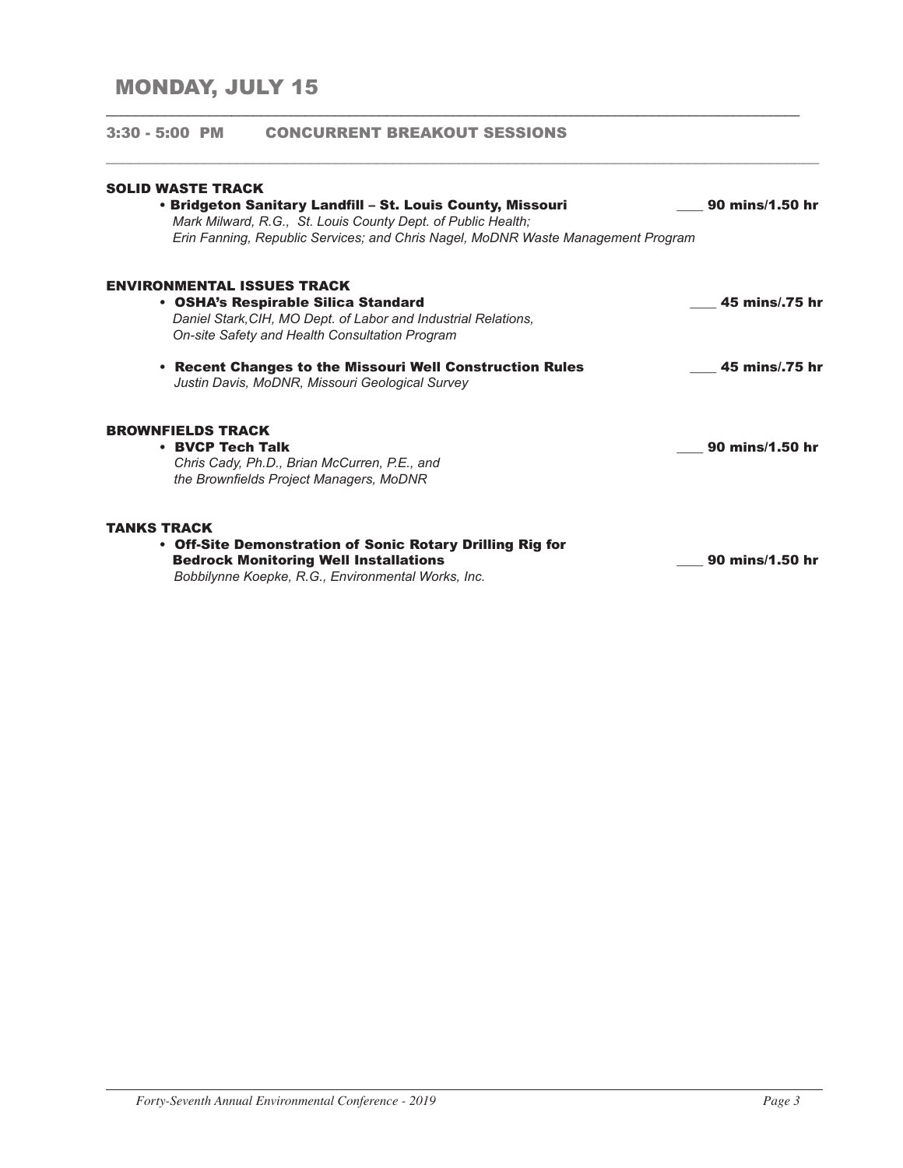## MONDAY, JULY 15

| <b>SOLID WASTE TRACK</b>                                                                                                                                                                                       |                 |
|----------------------------------------------------------------------------------------------------------------------------------------------------------------------------------------------------------------|-----------------|
| • Bridgeton Sanitary Landfill – St. Louis County, Missouri<br>Mark Milward, R.G., St. Louis County Dept. of Public Health;<br>Erin Fanning, Republic Services; and Chris Nagel, MoDNR Waste Management Program | 90 mins/1.50 hr |
| <b>ENVIRONMENTAL ISSUES TRACK</b><br>• OSHA's Respirable Silica Standard                                                                                                                                       | 45 mins/.75 hr  |
| Daniel Stark, CIH, MO Dept. of Labor and Industrial Relations,<br>On-site Safety and Health Consultation Program                                                                                               |                 |
| • Recent Changes to the Missouri Well Construction Rules<br>Justin Davis, MoDNR, Missouri Geological Survey                                                                                                    | 45 mins/.75 hr  |
| <b>BROWNFIELDS TRACK</b>                                                                                                                                                                                       |                 |
| • BVCP Tech Talk<br>Chris Cady, Ph.D., Brian McCurren, P.E., and<br>the Brownfields Project Managers, MoDNR                                                                                                    | 90 mins/1.50 hr |
| <b>TANKS TRACK</b>                                                                                                                                                                                             |                 |
| • Off-Site Demonstration of Sonic Rotary Drilling Rig for<br><b>Bedrock Monitoring Well Installations</b><br>Bobbilynne Koepke, R.G., Environmental Works, Inc.                                                | 90 mins/1.50 hr |

\_\_\_\_\_\_\_\_\_\_\_\_\_\_\_\_\_\_\_\_\_\_\_\_\_\_\_\_\_\_\_\_\_\_\_\_\_\_\_\_\_\_\_\_\_\_\_\_\_\_\_\_\_\_\_\_\_\_\_\_\_\_\_\_\_\_\_\_\_\_\_\_\_\_\_\_\_\_\_\_\_\_\_\_\_\_\_\_\_\_\_\_\_\_

3:30 - 5:00 PM CONCURRENT BREAKOUT SESSIONS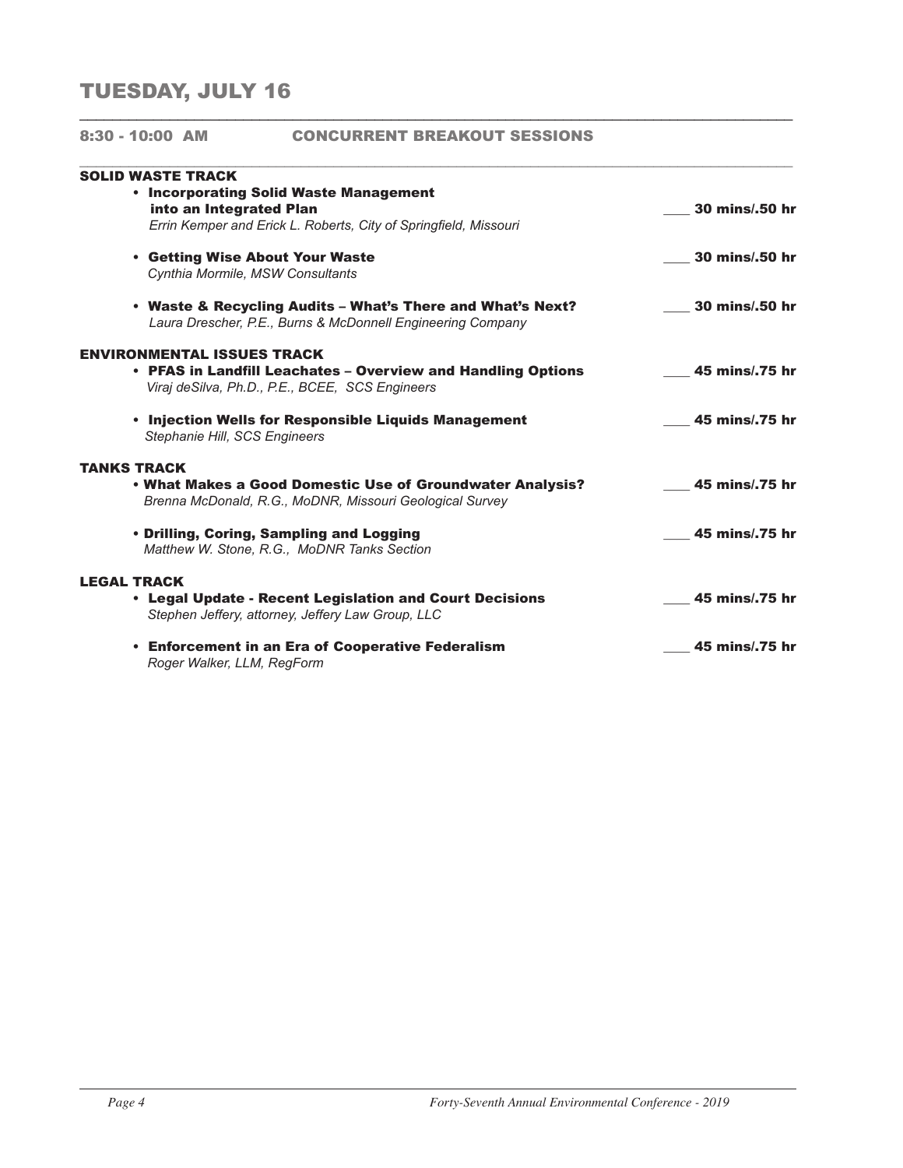## TUESDAY, JULY 16

| $8:30 - 10:00$ AM  |                          | <b>CONCURRENT BREAKOUT SESSIONS</b>                                                                                       |                |
|--------------------|--------------------------|---------------------------------------------------------------------------------------------------------------------------|----------------|
|                    | <b>SOLID WASTE TRACK</b> |                                                                                                                           |                |
|                    |                          | • Incorporating Solid Waste Management<br>into an Integrated Plan                                                         | 30 mins/.50 hr |
|                    |                          | Errin Kemper and Erick L. Roberts, City of Springfield, Missouri                                                          |                |
|                    |                          | • Getting Wise About Your Waste                                                                                           | 30 mins/.50 hr |
|                    |                          | Cynthia Mormile, MSW Consultants                                                                                          |                |
|                    |                          | • Waste & Recycling Audits – What's There and What's Next?<br>Laura Drescher, P.E., Burns & McDonnell Engineering Company | 30 mins/.50 hr |
|                    |                          | <b>ENVIRONMENTAL ISSUES TRACK</b>                                                                                         |                |
|                    |                          | • PFAS in Landfill Leachates – Overview and Handling Options<br>Viraj de Silva, Ph.D., P.E., BCEE, SCS Engineers          | 45 mins/.75 hr |
|                    |                          | • Injection Wells for Responsible Liquids Management<br>Stephanie Hill, SCS Engineers                                     | 45 mins/.75 hr |
| <b>TANKS TRACK</b> |                          |                                                                                                                           |                |
|                    |                          | • What Makes a Good Domestic Use of Groundwater Analysis?<br>Brenna McDonald, R.G., MoDNR, Missouri Geological Survey     | 45 mins/.75 hr |
|                    |                          | • Drilling, Coring, Sampling and Logging<br>Matthew W. Stone, R.G., MoDNR Tanks Section                                   | 45 mins/.75 hr |
| <b>LEGAL TRACK</b> |                          |                                                                                                                           |                |
|                    |                          | • Legal Update - Recent Legislation and Court Decisions<br>Stephen Jeffery, attorney, Jeffery Law Group, LLC              | 45 mins/.75 hr |
|                    |                          | • Enforcement in an Era of Cooperative Federalism<br>Roger Walker, LLM, RegForm                                           | 45 mins/.75 hr |

\_\_\_\_\_\_\_\_\_\_\_\_\_\_\_\_\_\_\_\_\_\_\_\_\_\_\_\_\_\_\_\_\_\_\_\_\_\_\_\_\_\_\_\_\_\_\_\_\_\_\_\_\_\_\_\_\_\_\_\_\_\_\_\_\_\_\_\_\_\_\_\_\_\_\_\_\_\_\_\_\_\_\_\_\_\_\_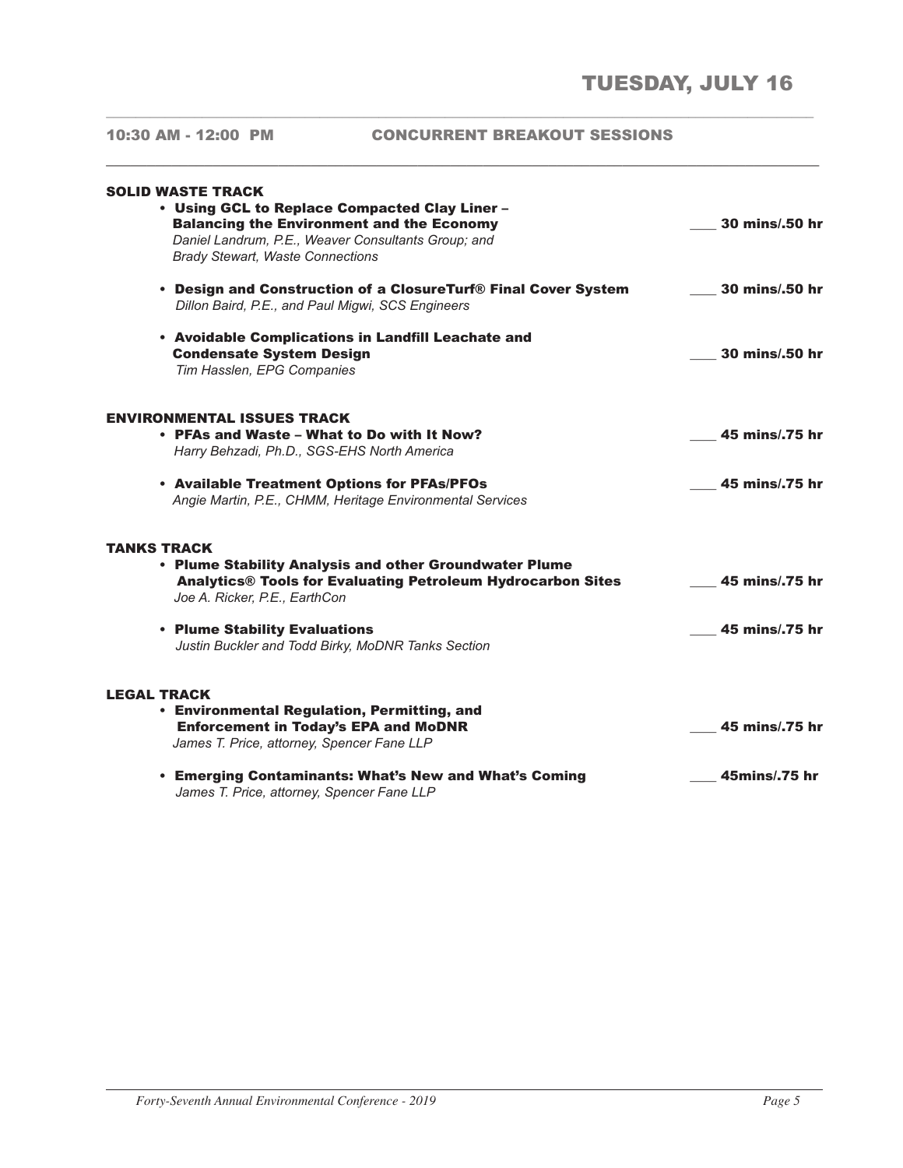#### 10:30 AM - 12:00 PM CONCURRENT BREAKOUT SESSIONS

\_\_\_\_\_\_\_\_\_\_\_\_\_\_\_\_\_\_\_\_\_\_\_\_\_\_\_\_\_\_\_\_\_\_\_\_\_\_\_\_\_\_\_\_\_\_\_\_\_\_\_\_\_\_\_\_\_\_\_\_\_\_\_\_\_\_\_\_\_\_\_\_\_\_\_\_\_\_\_\_\_\_\_\_\_\_\_\_\_\_\_\_\_\_\_\_

**\_\_\_\_\_\_\_\_\_\_\_\_\_\_\_\_\_\_\_\_\_\_\_\_\_\_\_\_\_\_\_\_\_\_\_\_\_\_\_\_\_\_\_\_\_\_\_\_\_\_\_\_\_\_\_\_\_\_\_\_\_\_\_\_\_\_\_\_\_\_\_\_\_\_\_\_\_\_\_\_\_\_\_\_\_\_\_**

| <b>SOLID WASTE TRACK</b><br>• Using GCL to Replace Compacted Clay Liner -<br><b>Balancing the Environment and the Economy</b><br>Daniel Landrum, P.E., Weaver Consultants Group; and<br><b>Brady Stewart, Waste Connections</b> | 30 mins/.50 hr |
|---------------------------------------------------------------------------------------------------------------------------------------------------------------------------------------------------------------------------------|----------------|
| • Design and Construction of a ClosureTurf® Final Cover System<br>Dillon Baird, P.E., and Paul Migwi, SCS Engineers                                                                                                             | 30 mins/.50 hr |
| • Avoidable Complications in Landfill Leachate and<br><b>Condensate System Design</b><br>Tim Hasslen, EPG Companies                                                                                                             | 30 mins/.50 hr |
| ENVIRONMENTAL ISSUES TRACK<br>• PFAs and Waste - What to Do with It Now?<br>Harry Behzadi, Ph.D., SGS-EHS North America                                                                                                         | 45 mins/.75 hr |
| • Available Treatment Options for PFAs/PFOs<br>Angie Martin, P.E., CHMM, Heritage Environmental Services                                                                                                                        | 45 mins/.75 hr |
| TANKS TRACK<br>• Plume Stability Analysis and other Groundwater Plume<br><b>Analytics® Tools for Evaluating Petroleum Hydrocarbon Sites</b><br>Joe A. Ricker, P.E., EarthCon                                                    | 45 mins/.75 hr |
| • Plume Stability Evaluations<br>Justin Buckler and Todd Birky, MoDNR Tanks Section                                                                                                                                             | 45 mins/.75 hr |
| <b>LEGAL TRACK</b><br><b>• Environmental Regulation, Permitting, and</b><br><b>Enforcement in Today's EPA and MoDNR</b><br>James T. Price, attorney, Spencer Fane LLP                                                           | 45 mins/.75 hr |
| • Emerging Contaminants: What's New and What's Coming<br>James T. Price, attorney, Spencer Fane LLP                                                                                                                             | 45mins/.75 hr  |